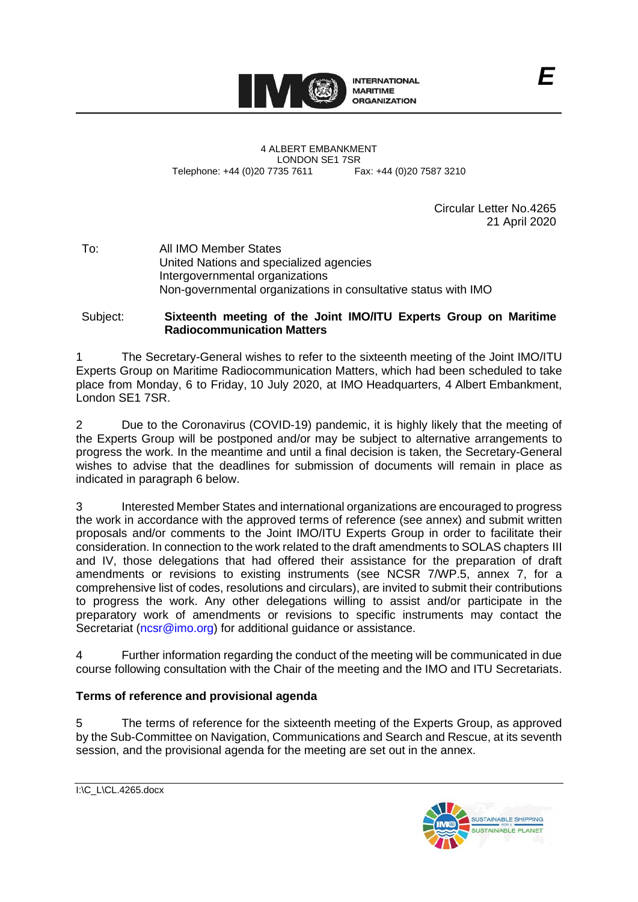

4 ALBERT EMBANKMENT LONDON SE1 7SR<br>735 7611 Fax: +44 (0)20 7587 3210 Telephone: +44 (0)20 7735 7611

Circular Letter No.4265 21 April 2020

To: All IMO Member States United Nations and specialized agencies Intergovernmental organizations Non-governmental organizations in consultative status with IMO

## Subject: **Sixteenth meeting of the Joint IMO/ITU Experts Group on Maritime Radiocommunication Matters**

1 The Secretary-General wishes to refer to the sixteenth meeting of the Joint IMO/ITU Experts Group on Maritime Radiocommunication Matters, which had been scheduled to take place from Monday, 6 to Friday, 10 July 2020, at IMO Headquarters, 4 Albert Embankment, London SE1 7SR.

2 Due to the Coronavirus (COVID-19) pandemic, it is highly likely that the meeting of the Experts Group will be postponed and/or may be subject to alternative arrangements to progress the work. In the meantime and until a final decision is taken, the Secretary-General wishes to advise that the deadlines for submission of documents will remain in place as indicated in paragraph 6 below.

3 Interested Member States and international organizations are encouraged to progress the work in accordance with the approved terms of reference (see annex) and submit written proposals and/or comments to the Joint IMO/ITU Experts Group in order to facilitate their consideration. In connection to the work related to the draft amendments to SOLAS chapters III and IV, those delegations that had offered their assistance for the preparation of draft amendments or revisions to existing instruments (see NCSR 7/WP.5, annex 7, for a comprehensive list of codes, resolutions and circulars), are invited to submit their contributions to progress the work. Any other delegations willing to assist and/or participate in the preparatory work of amendments or revisions to specific instruments may contact the Secretariat [\(ncsr@imo.org\)](mailto:ncsr@imo.org) for additional guidance or assistance.

4 Further information regarding the conduct of the meeting will be communicated in due course following consultation with the Chair of the meeting and the IMO and ITU Secretariats.

## **Terms of reference and provisional agenda**

5 The terms of reference for the sixteenth meeting of the Experts Group, as approved by the Sub-Committee on Navigation, Communications and Search and Rescue, at its seventh session, and the provisional agenda for the meeting are set out in the annex.



I:\C\_L\CL.4265.docx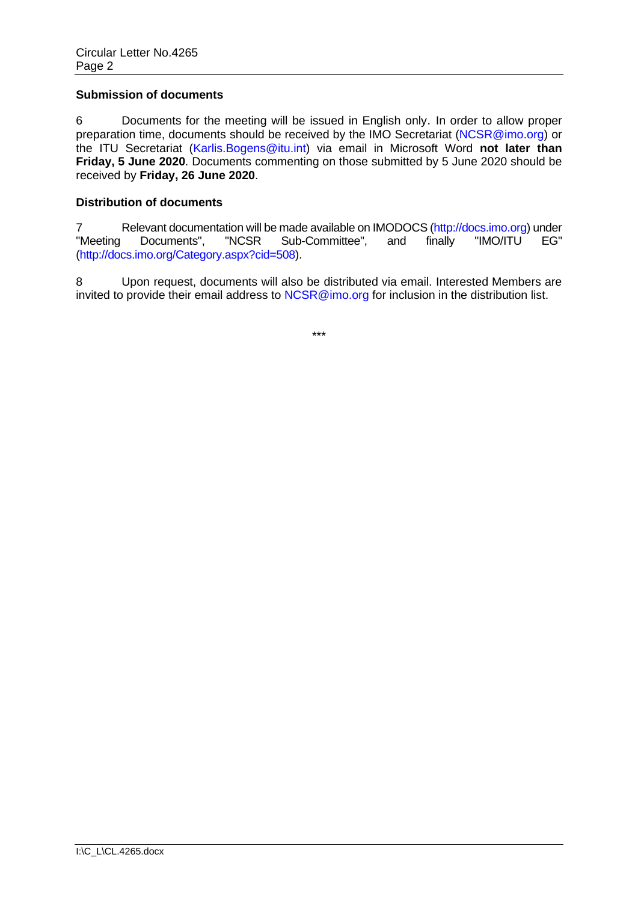#### **Submission of documents**

6 Documents for the meeting will be issued in English only. In order to allow proper preparation time, documents should be received by the IMO Secretariat [\(NCSR@imo.org\)](mailto:NCSR@imo.org) or the ITU Secretariat [\(Karlis.Bogens@itu.int\)](mailto:Karlis.bogens@itu.int) via email in Microsoft Word **not later than Friday, 5 June 2020**. Documents commenting on those submitted by 5 June 2020 should be received by **Friday, 26 June 2020**.

### **Distribution of documents**

7 Relevant documentation will be made available on IMODOCS [\(http://docs.imo.org\)](http://docs.imo.org/) under<br>"Meeting Documents", "NCSR Sub-Committee", and finally "IMO/ITU EG" Documents", "NCSR Sub-Committee", and finally "IMO/ITU EG" [\(http://docs.imo.org/Category.aspx?cid=508\)](http://docs.imo.org/Category.aspx?cid=508).

8 Upon request, documents will also be distributed via email. Interested Members are invited to provide their email address to [NCSR@imo.org](mailto:NCSR@imo.org) for inclusion in the distribution list.

\*\*\*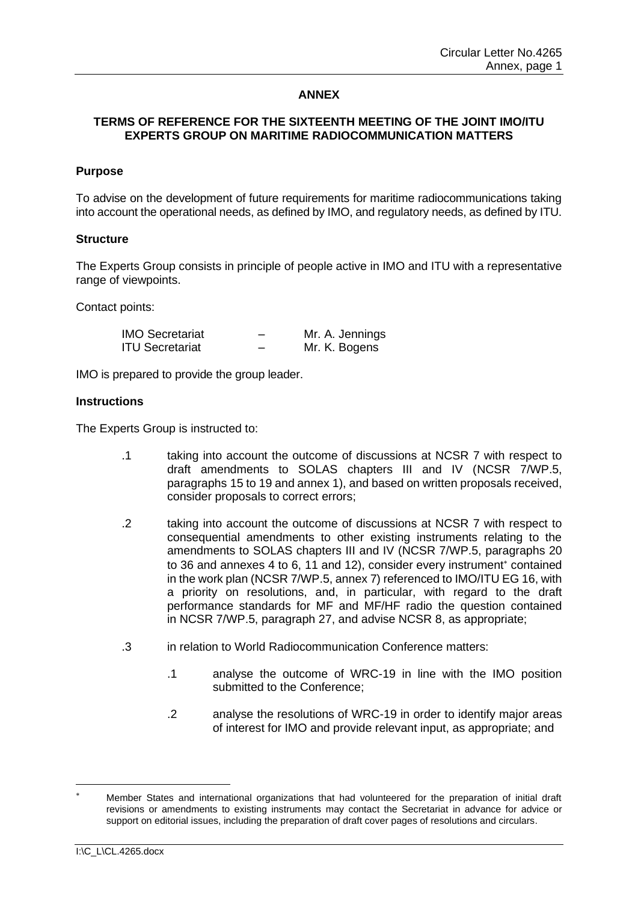## **ANNEX**

## **TERMS OF REFERENCE FOR THE SIXTEENTH MEETING OF THE JOINT IMO/ITU EXPERTS GROUP ON MARITIME RADIOCOMMUNICATION MATTERS**

#### **Purpose**

To advise on the development of future requirements for maritime radiocommunications taking into account the operational needs, as defined by IMO, and regulatory needs, as defined by ITU.

#### **Structure**

The Experts Group consists in principle of people active in IMO and ITU with a representative range of viewpoints.

Contact points:

| <b>IMO Secretariat</b> | Mr. A. Jennings |
|------------------------|-----------------|
| <b>ITU Secretariat</b> | Mr. K. Bogens   |

IMO is prepared to provide the group leader.

#### **Instructions**

The Experts Group is instructed to:

- .1 taking into account the outcome of discussions at NCSR 7 with respect to draft amendments to SOLAS chapters III and IV (NCSR 7/WP.5, paragraphs 15 to 19 and annex 1), and based on written proposals received, consider proposals to correct errors;
- .2 taking into account the outcome of discussions at NCSR 7 with respect to consequential amendments to other existing instruments relating to the amendments to SOLAS chapters III and IV (NCSR 7/WP.5, paragraphs 20 to 36 and annexes 4 to 6, 11 and 12), consider every instrument<sup>\*</sup> contained in the work plan (NCSR 7/WP.5, annex 7) referenced to IMO/ITU EG 16, with a priority on resolutions, and, in particular, with regard to the draft performance standards for MF and MF/HF radio the question contained in NCSR 7/WP.5, paragraph 27, and advise NCSR 8, as appropriate;
- .3 in relation to World Radiocommunication Conference matters:
	- .1 analyse the outcome of WRC-19 in line with the IMO position submitted to the Conference;
	- .2 analyse the resolutions of WRC-19 in order to identify major areas of interest for IMO and provide relevant input, as appropriate; and

Member States and international organizations that had volunteered for the preparation of initial draft revisions or amendments to existing instruments may contact the Secretariat in advance for advice or support on editorial issues, including the preparation of draft cover pages of resolutions and circulars.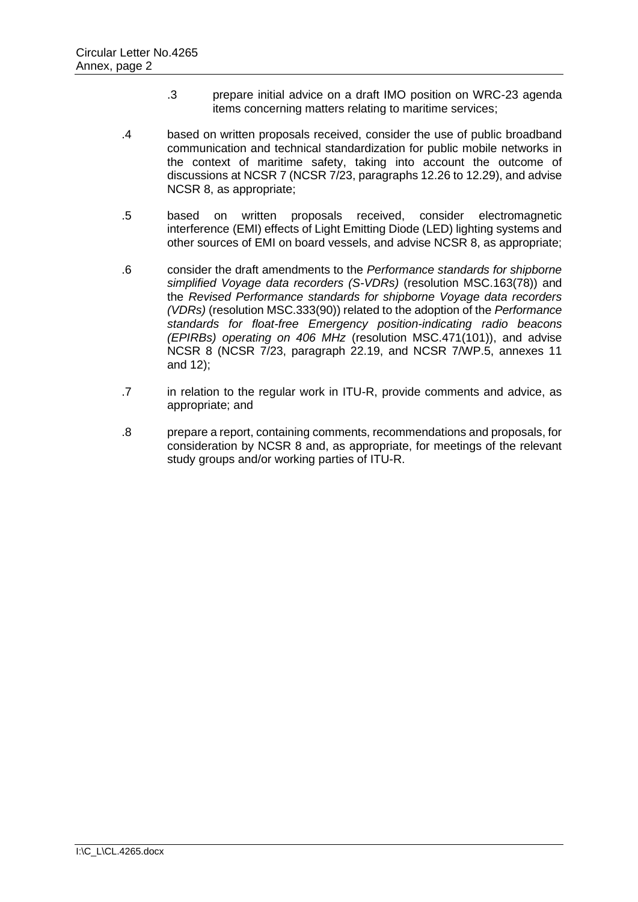- .3 prepare initial advice on a draft IMO position on WRC-23 agenda items concerning matters relating to maritime services;
- .4 based on written proposals received, consider the use of public broadband communication and technical standardization for public mobile networks in the context of maritime safety, taking into account the outcome of discussions at NCSR 7 (NCSR 7/23, paragraphs 12.26 to 12.29), and advise NCSR 8, as appropriate;
- .5 based on written proposals received, consider electromagnetic interference (EMI) effects of Light Emitting Diode (LED) lighting systems and other sources of EMI on board vessels, and advise NCSR 8, as appropriate;
- .6 consider the draft amendments to the *Performance standards for shipborne simplified Voyage data recorders (S-VDRs)* (resolution MSC.163(78)) and the *Revised Performance standards for shipborne Voyage data recorders (VDRs)* (resolution MSC.333(90)) related to the adoption of the *Performance standards for float-free Emergency position-indicating radio beacons (EPIRBs) operating on 406 MHz* (resolution MSC.471(101)), and advise NCSR 8 (NCSR 7/23, paragraph 22.19, and NCSR 7/WP.5, annexes 11 and 12);
- .7 in relation to the regular work in ITU-R, provide comments and advice, as appropriate; and
- .8 prepare a report, containing comments, recommendations and proposals, for consideration by NCSR 8 and, as appropriate, for meetings of the relevant study groups and/or working parties of ITU-R.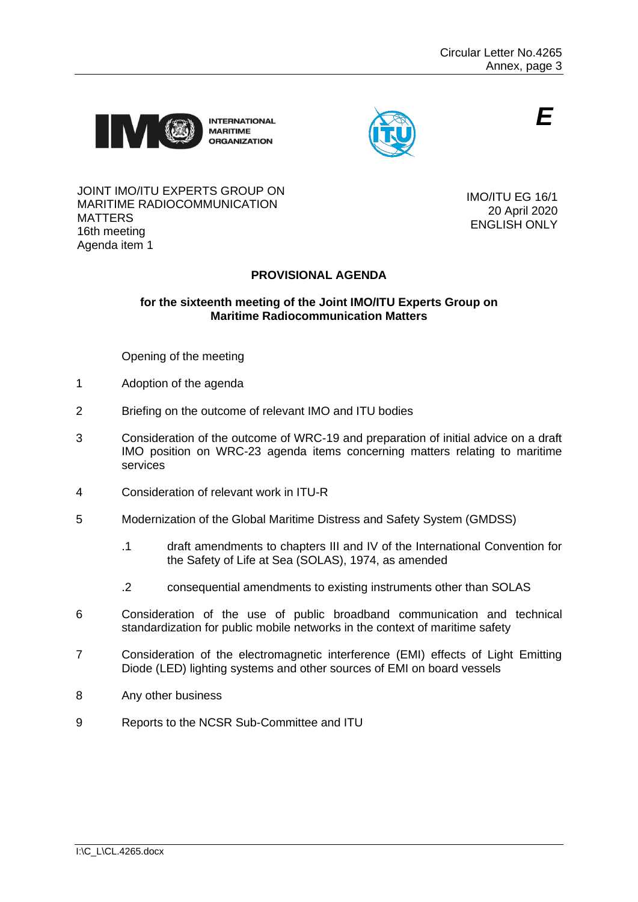

**INTERNATIONAL MARITIME ORGANIZATION** 



*E*

#### JOINT IMO/ITU EXPERTS GROUP ON MARITIME RADIOCOMMUNICATION MATTERS 16th meeting Agenda item 1

IMO/ITU EG 16/1 20 April 2020 ENGLISH ONLY

# **PROVISIONAL AGENDA**

## **for the sixteenth meeting of the Joint IMO/ITU Experts Group on Maritime Radiocommunication Matters**

Opening of the meeting

- 1 Adoption of the agenda
- 2 Briefing on the outcome of relevant IMO and ITU bodies
- 3 Consideration of the outcome of WRC-19 and preparation of initial advice on a draft IMO position on WRC-23 agenda items concerning matters relating to maritime services
- 4 Consideration of relevant work in ITU-R
- 5 Modernization of the Global Maritime Distress and Safety System (GMDSS)
	- .1 draft amendments to chapters III and IV of the International Convention for the Safety of Life at Sea (SOLAS), 1974, as amended
	- .2 consequential amendments to existing instruments other than SOLAS
- 6 Consideration of the use of public broadband communication and technical standardization for public mobile networks in the context of maritime safety
- 7 Consideration of the electromagnetic interference (EMI) effects of Light Emitting Diode (LED) lighting systems and other sources of EMI on board vessels
- 8 Any other business
- 9 Reports to the NCSR Sub-Committee and ITU